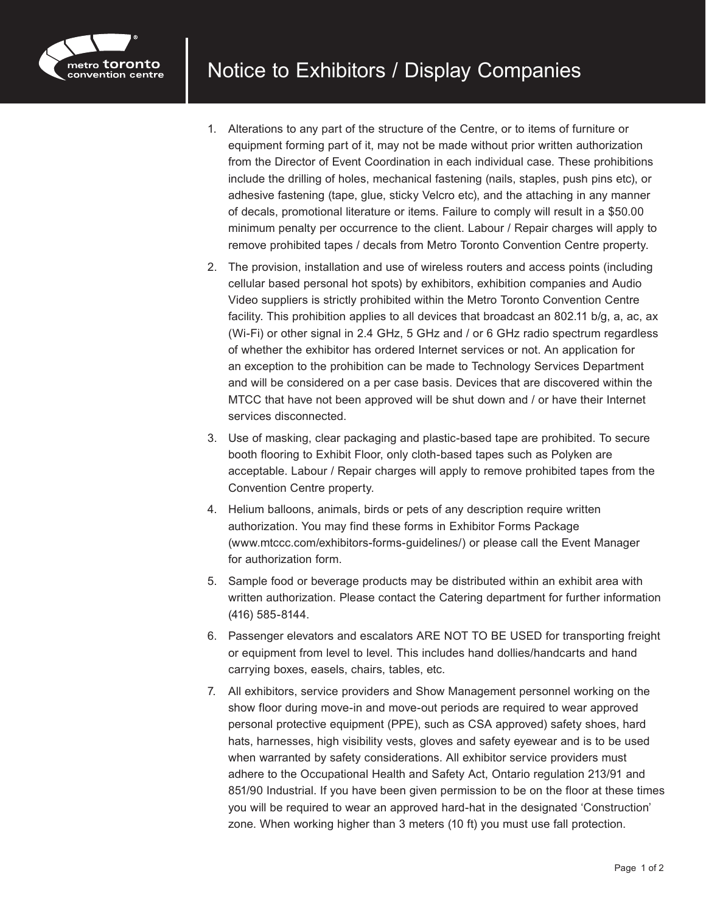

- 1. Alterations to any part of the structure of the Centre, or to items of furniture or equipment forming part of it, may not be made without prior written authorization from the Director of Event Coordination in each individual case. These prohibitions include the drilling of holes, mechanical fastening (nails, staples, push pins etc), or adhesive fastening (tape, glue, sticky Velcro etc), and the attaching in any manner of decals, promotional literature or items. Failure to comply will result in a \$50.00 minimum penalty per occurrence to the client. Labour / Repair charges will apply to remove prohibited tapes / decals from Metro Toronto Convention Centre property.
- 2. The provision, installation and use of wireless routers and access points (including cellular based personal hot spots) by exhibitors, exhibition companies and Audio Video suppliers is strictly prohibited within the Metro Toronto Convention Centre facility. This prohibition applies to all devices that broadcast an 802.11 b/g, a, ac, ax (Wi-Fi) or other signal in 2.4 GHz, 5 GHz and / or 6 GHz radio spectrum regardless of whether the exhibitor has ordered Internet services or not. An application for an exception to the prohibition can be made to Technology Services Department and will be considered on a per case basis. Devices that are discovered within the MTCC that have not been approved will be shut down and / or have their Internet services disconnected.
- 3. Use of masking, clear packaging and plastic-based tape are prohibited. To secure booth flooring to Exhibit Floor, only cloth-based tapes such as Polyken are acceptable. Labour / Repair charges will apply to remove prohibited tapes from the Convention Centre property.
- 4. Helium balloons, animals, birds or pets of any description require written authorization. You may find these forms in Exhibitor Forms Package (www.mtccc.com/exhibitors-forms-guidelines/) or please call the Event Manager for authorization form.
- 5. Sample food or beverage products may be distributed within an exhibit area with written authorization. Please contact the Catering department for further information (416) 585-8144.
- 6. Passenger elevators and escalators ARE NOT TO BE USED for transporting freight or equipment from level to level. This includes hand dollies/handcarts and hand carrying boxes, easels, chairs, tables, etc.
- 7. All exhibitors, service providers and Show Management personnel working on the show floor during move-in and move-out periods are required to wear approved personal protective equipment (PPE), such as CSA approved) safety shoes, hard hats, harnesses, high visibility vests, gloves and safety eyewear and is to be used when warranted by safety considerations. All exhibitor service providers must adhere to the Occupational Health and Safety Act, Ontario regulation 213/91 and 851/90 Industrial. If you have been given permission to be on the floor at these times you will be required to wear an approved hard-hat in the designated 'Construction' zone. When working higher than 3 meters (10 ft) you must use fall protection.